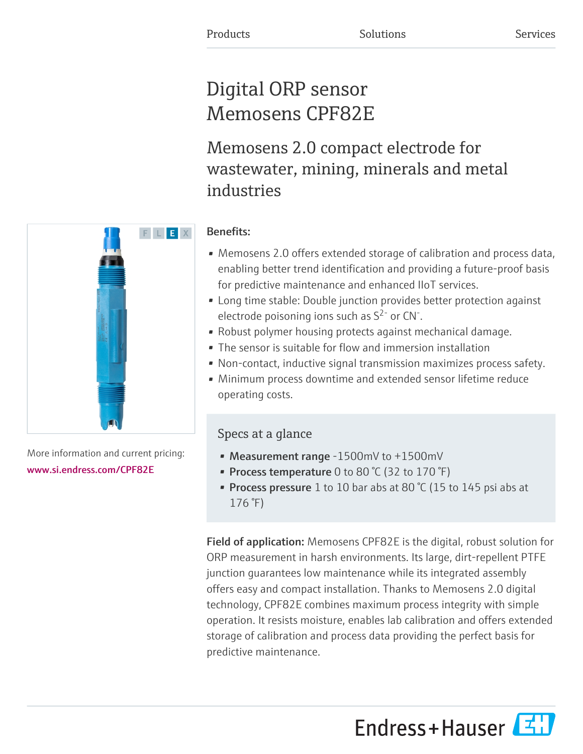# Digital ORP sensor Memosens CPF82E

Memosens 2.0 compact electrode for wastewater, mining, minerals and metal industries

# F L E X

More information and current pricing: [www.si.endress.com/CPF82E](https://www.si.endress.com/CPF82E)

# Benefits:

- Memosens 2.0 offers extended storage of calibration and process data, enabling better trend identification and providing a future-proof basis for predictive maintenance and enhanced IIoT services.
- Long time stable: Double junction provides better protection against electrode poisoning ions such as  $S^{2}$  or CN<sup>-</sup>.
- Robust polymer housing protects against mechanical damage.
- The sensor is suitable for flow and immersion installation
- Non-contact, inductive signal transmission maximizes process safety.
- Minimum process downtime and extended sensor lifetime reduce operating costs.

# Specs at a glance

- Measurement range -1500mV to +1500mV
- Process temperature 0 to 80  $°C$  (32 to 170  $°F$ )
- Process pressure 1 to 10 bar abs at 80 °C (15 to 145 psi abs at 176 °F)

Field of application: Memosens CPF82E is the digital, robust solution for ORP measurement in harsh environments. Its large, dirt-repellent PTFE junction guarantees low maintenance while its integrated assembly offers easy and compact installation. Thanks to Memosens 2.0 digital technology, CPF82E combines maximum process integrity with simple operation. It resists moisture, enables lab calibration and offers extended storage of calibration and process data providing the perfect basis for predictive maintenance.

Endress+Hauser

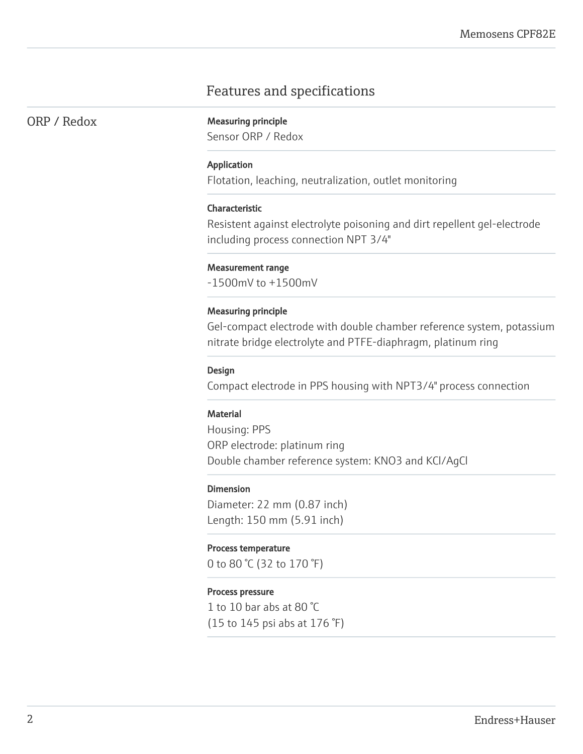# Features and specifications

ORP / Redox Measuring principle

Sensor ORP / Redox

#### Application

Flotation, leaching, neutralization, outlet monitoring

#### Characteristic

Resistent against electrolyte poisoning and dirt repellent gel-electrode including process connection NPT 3/4"

#### Measurement range

-1500mV to +1500mV

#### Measuring principle

Gel-compact electrode with double chamber reference system, potassium nitrate bridge electrolyte and PTFE-diaphragm, platinum ring

#### Design

Compact electrode in PPS housing with NPT3/4" process connection

#### **Material**

Housing: PPS ORP electrode: platinum ring Double chamber reference system: KNO3 and KCl/AgCl

#### Dimension

Diameter: 22 mm (0.87 inch) Length: 150 mm (5.91 inch)

#### Process temperature

0 to 80 °C (32 to 170 °F)

#### Process pressure

1 to 10 bar abs at 80 °C (15 to 145 psi abs at 176 °F)